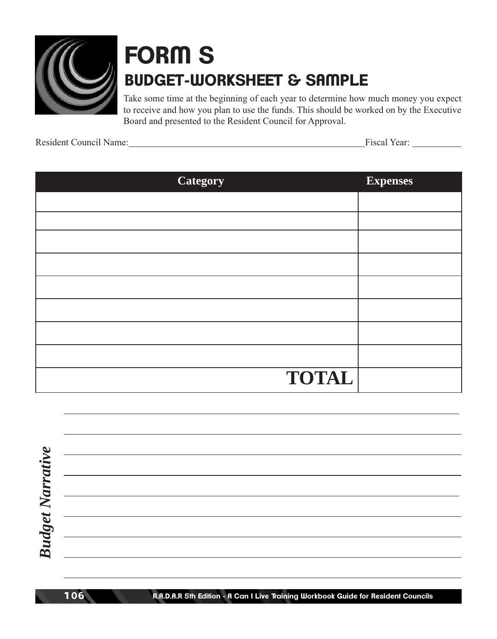

## **FORM S BUDGET-WORKSHEET & SAMPLE**

Take some time at the beginning of each year to determine how much money you expect to receive and how you plan to use the funds. This should be worked on by the Executive Board and presented to the Resident Council for Approval.

Resident Council Name: Fiscal Year: Fiscal Year: Fiscal Year:

 $\overline{a}$ 

 $\overline{a}$ 

 $\overline{a}$ 

 $\overline{a}$ 

 $\overline{a}$ 

 $\overline{a}$ 

 $\overline{a}$ 

 $\overline{a}$ 

| <b>Category</b> | Expenses |
|-----------------|----------|
|                 |          |
|                 |          |
|                 |          |
|                 |          |
|                 |          |
|                 |          |
|                 |          |
|                 |          |
| <b>TOTAL</b>    |          |

106 **R.A.D.A.R 5th Edition - A Can I Live Training Workbook Guide for Resident Councils**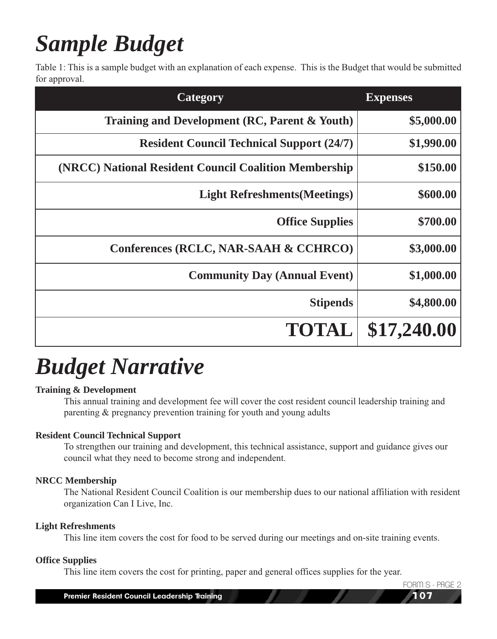# *Sample Budget*

Table 1: This is a sample budget with an explanation of each expense. This is the Budget that would be submitted for approval.

| <b>Category</b>                                       | <b>Expenses</b> |
|-------------------------------------------------------|-----------------|
| Training and Development (RC, Parent & Youth)         | \$5,000.00      |
| <b>Resident Council Technical Support (24/7)</b>      | \$1,990.00      |
| (NRCC) National Resident Council Coalition Membership | \$150.00        |
| <b>Light Refreshments (Meetings)</b>                  | \$600.00        |
| <b>Office Supplies</b>                                | \$700.00        |
| Conferences (RCLC, NAR-SAAH & CCHRCO)                 | \$3,000.00      |
| <b>Community Day (Annual Event)</b>                   | \$1,000.00      |
| <b>Stipends</b>                                       | \$4,800.00      |
| <b>TOTAL</b>                                          | \$17,240.00     |

## *Budget Narrative*

## **Training & Development**

This annual training and development fee will cover the cost resident council leadership training and parenting & pregnancy prevention training for youth and young adults

## **Resident Council Technical Support**

To strengthen our training and development, this technical assistance, support and guidance gives our council what they need to become strong and independent.

## **NRCC Membership**

The National Resident Council Coalition is our membership dues to our national affiliation with resident organization Can I Live, Inc.

## **Light Refreshments**

This line item covers the cost for food to be served during our meetings and on-site training events.

## **Office Supplies**

This line item covers the cost for printing, paper and general offices supplies for the year.